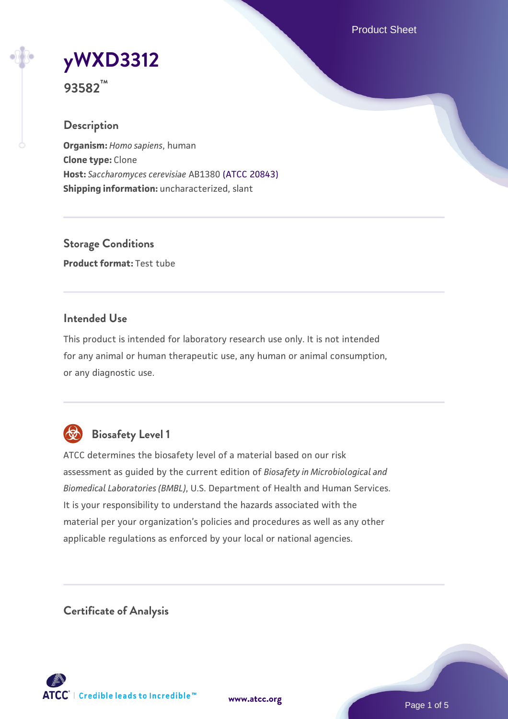Product Sheet

# **[yWXD3312](https://www.atcc.org/products/93582)**

**93582™**

# **Description**

**Organism:** *Homo sapiens*, human **Clone type:** Clone **Host:** *Saccharomyces cerevisiae* AB1380 [\(ATCC 20843\)](https://www.atcc.org/products/20843) **Shipping information:** uncharacterized, slant

**Storage Conditions Product format:** Test tube

# **Intended Use**

This product is intended for laboratory research use only. It is not intended for any animal or human therapeutic use, any human or animal consumption, or any diagnostic use.



# **Biosafety Level 1**

ATCC determines the biosafety level of a material based on our risk assessment as guided by the current edition of *Biosafety in Microbiological and Biomedical Laboratories (BMBL)*, U.S. Department of Health and Human Services. It is your responsibility to understand the hazards associated with the material per your organization's policies and procedures as well as any other applicable regulations as enforced by your local or national agencies.

**Certificate of Analysis**

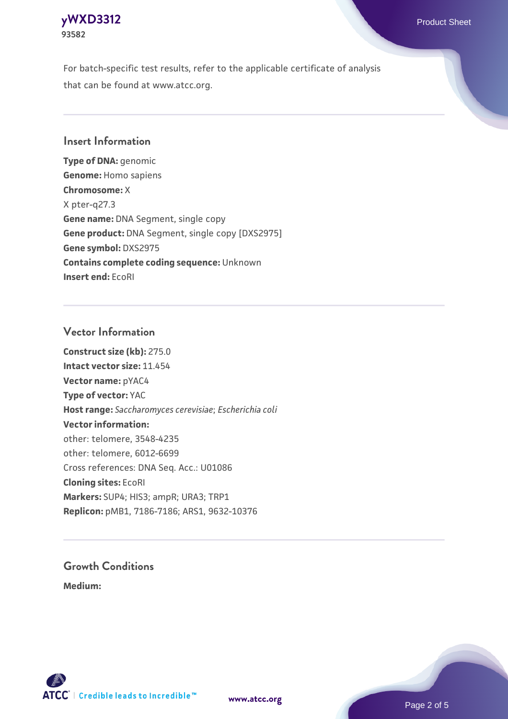# **[yWXD3312](https://www.atcc.org/products/93582)** Product Sheet **93582**

For batch-specific test results, refer to the applicable certificate of analysis that can be found at www.atcc.org.

# **Insert Information**

**Type of DNA:** genomic **Genome:** Homo sapiens **Chromosome:** X X pter-q27.3 **Gene name:** DNA Segment, single copy **Gene product:** DNA Segment, single copy [DXS2975] **Gene symbol:** DXS2975 **Contains complete coding sequence:** Unknown **Insert end:** EcoRI

# **Vector Information**

**Construct size (kb):** 275.0 **Intact vector size:** 11.454 **Vector name:** pYAC4 **Type of vector:** YAC **Host range:** *Saccharomyces cerevisiae*; *Escherichia coli* **Vector information:** other: telomere, 3548-4235 other: telomere, 6012-6699 Cross references: DNA Seq. Acc.: U01086 **Cloning sites:** EcoRI **Markers:** SUP4; HIS3; ampR; URA3; TRP1 **Replicon:** pMB1, 7186-7186; ARS1, 9632-10376

# **Growth Conditions**

**Medium:** 



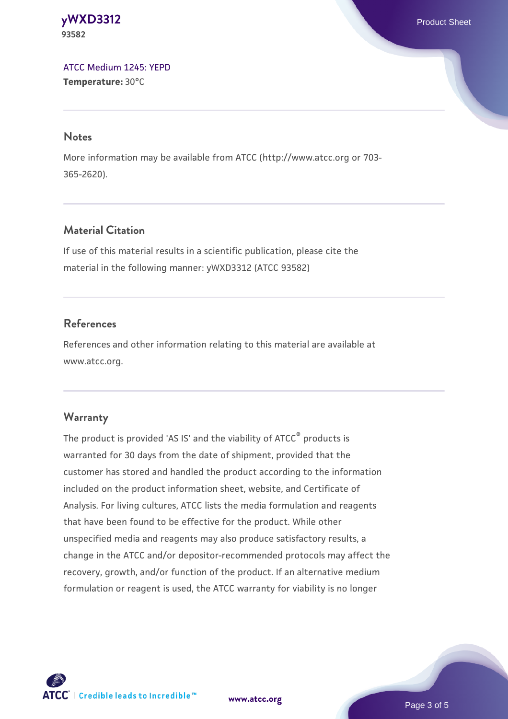**[yWXD3312](https://www.atcc.org/products/93582)** Product Sheet **93582**

[ATCC Medium 1245: YEPD](https://www.atcc.org/-/media/product-assets/documents/microbial-media-formulations/1/2/4/5/atcc-medium-1245.pdf?rev=705ca55d1b6f490a808a965d5c072196) **Temperature:** 30°C

#### **Notes**

More information may be available from ATCC (http://www.atcc.org or 703- 365-2620).

# **Material Citation**

If use of this material results in a scientific publication, please cite the material in the following manner: yWXD3312 (ATCC 93582)

# **References**

References and other information relating to this material are available at www.atcc.org.

#### **Warranty**

The product is provided 'AS IS' and the viability of ATCC® products is warranted for 30 days from the date of shipment, provided that the customer has stored and handled the product according to the information included on the product information sheet, website, and Certificate of Analysis. For living cultures, ATCC lists the media formulation and reagents that have been found to be effective for the product. While other unspecified media and reagents may also produce satisfactory results, a change in the ATCC and/or depositor-recommended protocols may affect the recovery, growth, and/or function of the product. If an alternative medium formulation or reagent is used, the ATCC warranty for viability is no longer

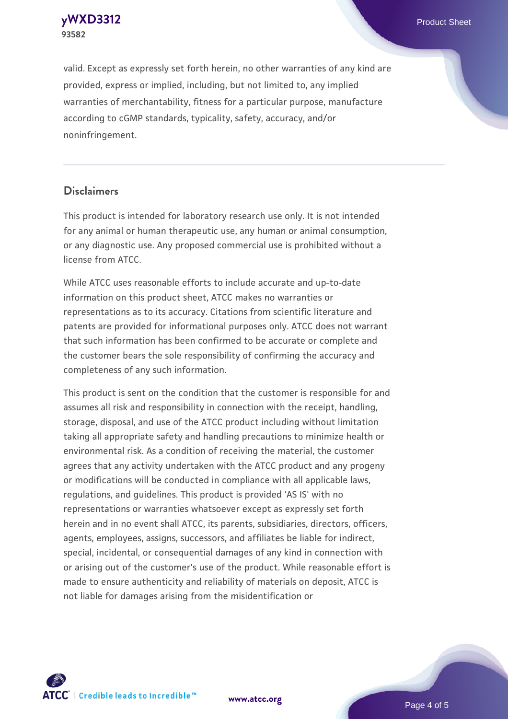**[yWXD3312](https://www.atcc.org/products/93582)** Product Sheet **93582**

valid. Except as expressly set forth herein, no other warranties of any kind are provided, express or implied, including, but not limited to, any implied warranties of merchantability, fitness for a particular purpose, manufacture according to cGMP standards, typicality, safety, accuracy, and/or noninfringement.

#### **Disclaimers**

This product is intended for laboratory research use only. It is not intended for any animal or human therapeutic use, any human or animal consumption, or any diagnostic use. Any proposed commercial use is prohibited without a license from ATCC.

While ATCC uses reasonable efforts to include accurate and up-to-date information on this product sheet, ATCC makes no warranties or representations as to its accuracy. Citations from scientific literature and patents are provided for informational purposes only. ATCC does not warrant that such information has been confirmed to be accurate or complete and the customer bears the sole responsibility of confirming the accuracy and completeness of any such information.

This product is sent on the condition that the customer is responsible for and assumes all risk and responsibility in connection with the receipt, handling, storage, disposal, and use of the ATCC product including without limitation taking all appropriate safety and handling precautions to minimize health or environmental risk. As a condition of receiving the material, the customer agrees that any activity undertaken with the ATCC product and any progeny or modifications will be conducted in compliance with all applicable laws, regulations, and guidelines. This product is provided 'AS IS' with no representations or warranties whatsoever except as expressly set forth herein and in no event shall ATCC, its parents, subsidiaries, directors, officers, agents, employees, assigns, successors, and affiliates be liable for indirect, special, incidental, or consequential damages of any kind in connection with or arising out of the customer's use of the product. While reasonable effort is made to ensure authenticity and reliability of materials on deposit, ATCC is not liable for damages arising from the misidentification or



**[www.atcc.org](http://www.atcc.org)**

Page 4 of 5